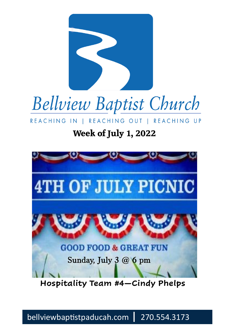



I REACHING OUT I REACHING UP REACHING IN

#### **Week of July 1, 2022**



**Hospitality Team #4—Cindy Phelps**

bellviewbaptistpaducah.com | 270.554.3173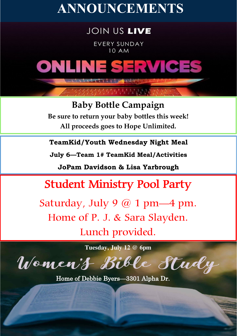## **ANNOUNCEMENTS**

#### **JOIN US LIVE**

**EVERY SUNDAY 10 AM** 

# ONLINE SERVICES

**Baby Bottle Campaign Be sure to return your baby bottles this week! All proceeds goes to Hope Unlimited.**

**TeamKid/Youth Wednesday Night Meal**

**July 6—Team 1# TeamKid Meal/Activities**

**JoPam Davidson & Lisa Yarbrough**

**Student Ministry Pool Party** 

Saturday, July 9  $@$  1 pm—4 pm. Home of P. J. & Sara Slayden. Lunch provided.

**Tuesday, July 12 @ 6pm**

Women't Bible Study Home of Debbie Byers—3301 Alpha Dr.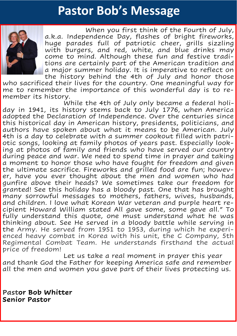### **Pastor Bob's Message**



a.k.a. Independence Day, flashes of bright fireworks, huge parades full of patriotic cheer, grills sizzling<br>with burgers, and red, white, and blue drinks may When you first think of the Fourth of July, huge parades full of patriotic cheer, grills sizzling come to mind. Although these fun and festive traditions are certainly part of the American tradition and a major summer holiday. It is imperative to reflect on the history behind the 4th of July and honor those

who sacrificed their lives for the country. One meaningful way for me to remember the importance of this wonderful day is to remember its history.

While the 4th of July only became a federal holiday in 1941, its history stems back to July 1776, when America adopted the Declaration of Independence. Over the centuries since this historical day in American history, presidents, politicians, and authors have spoken about what it means to be American. July 4th is a day to celebrate with a summer cookout filled with patriotic songs, looking at family photos of years past. Especially looking at photos of family and friends who have served our country during peace and war. We need to spend time in prayer and taking a moment to honor those who have fought for freedom and given the ultimate sacrifice. Fireworks and grilled food are fun; however, have you ever thought about the men and women who had gunfire above their heads? We sometimes take our freedom for granted! See this holiday has a bloody past. One that has brought many sorrowful messages to mothers, fathers, wives, husbands, and children. I love what Korean War veteran and purple heart recipient Howard William stated All gave some, some gave all." To fully understand this quote, one must understand what he was thinking about. See He served in a bloody battle while serving in the Army. He served from 1951 to 1953, during which he experienced heavy combat in Korea with his unit, the C Company, 5th Regimental Combat Team. He understands firsthand the actual price of freedom!

Let us take a real moment in prayer this year and thank God the Father for keeping America safe and remember all the men and women you gave part of their lives protecting us.

**Pastor Bob Whitter Senior Pastor**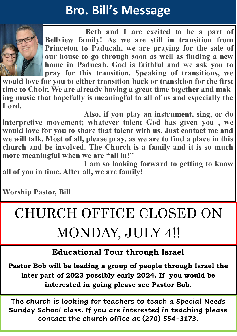## **Bro. Bill's Message**



**Beth and I are excited to be a part of Bellview family! As we are still in transition from Princeton to Paducah, we are praying for the sale of our house to go through soon as well as finding a new home in Paducah. God is faithful and we ask you to pray for this transition. Speaking of transitions, we** 

**would love for you to either transition back or transition for the first time to Choir. We are already having a great time together and making music that hopefully is meaningful to all of us and especially the Lord.**

**Also, if you play an instrument, sing, or do interpretive movement; whatever talent God has given you , we would love for you to share that talent with us. Just contact me and we will talk. Most of all, please pray, as we are to find a place in this church and be involved. The Church is a family and it is so much more meaningful when we are "all in!"**

**I am so looking forward to getting to know all of you in time. After all, we are family!**

**Worship Pastor, Bill**

## CHURCH OFFICE CLOSED ON MONDAY, JULY 4!!

#### **Educational Tour through Israel**

**Pastor Bob will be leading a group of people through Israel the later part of 2023 possibly early 2024. If you would be interested in going please see Pastor Bob.**

**The church is looking for teachers to teach a Special Needs Sunday School class. If you are interested in teaching please contact the church office at (270) 554-3173.**